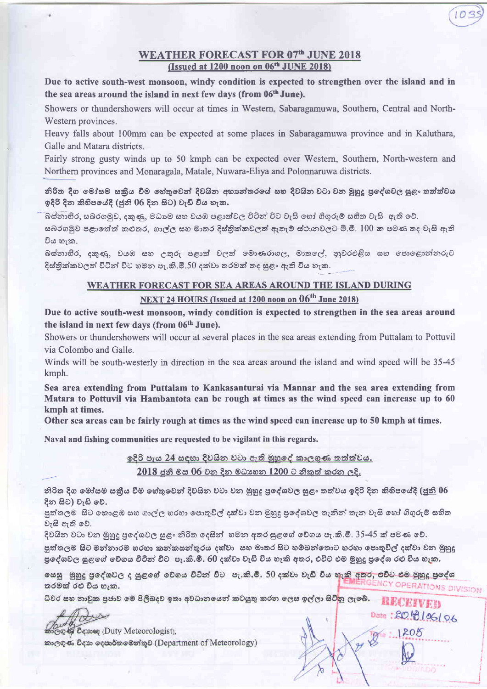## **WEATHER FORECAST FOR 07th JUNE 2018** (Issued at 1200 noon on 06<sup>th</sup> JUNE 2018)

Due to active south-west monsoon, windy condition is expected to strengthen over the island and in the sea areas around the island in next few days (from 06<sup>th</sup> June).

Showers or thundershowers will occur at times in Western, Sabaragamuwa, Southern, Central and North-Western provinces.

Heavy falls about 100mm can be expected at some places in Sabaragamuwa province and in Kaluthara, Galle and Matara districts.

Fairly strong gusty winds up to 50 kmph can be expected over Western, Southern, North-western and Northern provinces and Monaragala, Matale, Nuwara-Eliya and Polonnaruwa districts.

නිරිත දිග මෝසම සකීය වීම හේතුවෙන් දිවයින අභාන්තරයේ සහ දිවයින වටා වන මුහුදු පුදේශවල සුළං තත්ත්වය ඉදිරි දින කිහිපයේදී (ජුනි 06 දින සිට) වැඩි විය හැක.

බස්නාහිර, සබරගමුව, දකුණු, මධාාම සහ වයඹ පළාත්වල විටින් විට වැසි හෝ ගිගුරුම් සහිත වැසි ඇති වේ.

සබරගමුව පළාතේත් කළුතර, ගාල්ල සහ මාතර දිස්තික්කවලත් ඇතැම් ස්ථානවලට මි.මී. 100 ක පමණ තද වැසි ඇති විය හැක.

බස්නාහිර, දකුණු, වයඹ සහ උතුරු පළාත් වලත් මොණරාගල, මාතලේ, නුවරඑළිය සහ පොළොන්නරුව දිස්තික්කවලත් විටින් විට හමන පැ.කි.මී.50 දක්වා තරමක් තද සුළං ඇති විය හැක.

## WEATHER FORECAST FOR SEA AREAS AROUND THE ISLAND DURING

## NEXT 24 HOURS (Issued at 1200 noon on 06<sup>th</sup> June 2018)

Due to active south-west monsoon, windy condition is expected to strengthen in the sea areas around the island in next few days (from 06<sup>th</sup> June).

Showers or thundershowers will occur at several places in the sea areas extending from Puttalam to Pottuvil via Colombo and Galle.

Winds will be south-westerly in direction in the sea areas around the island and wind speed will be 35-45 kmph.

Sea area extending from Puttalam to Kankasanturai via Mannar and the sea area extending from Matara to Pottuvil via Hambantota can be rough at times as the wind speed can increase up to 60 kmph at times.

Other sea areas can be fairly rough at times as the wind speed can increase up to 50 kmph at times.

Naval and fishing communities are requested to be vigilant in this regards.

ඉදිරි පැය 24 සඳහා දිවයින වටා ඇති මුහුදේ කාලගුණ කත්ත්වය.

2018 ජුනි මස 06 වන දින මධාහන 1200 ට නිකුත් කරන ලදි.

නිරිත දිග මෝසම සකීය වීම හේතුවෙන් දිවයින වටා වන මුහුදු පුදේශවල සුළං තත්වය ඉදිරි දින කිහිපයේදී (ජුනි 06 දින සිට) වැඩි වේ.

පුත්තලම සිට කොළඹ සහ ගාල්ල හරහා පොතුවිල් දක්වා වන මුහුදු පුදේශවල තැනින් තැන වැසි හෝ ගිගුරුම් සහිත වැසි ඇති වේ.

දිවයින වටා වන මුහුදු පුදේශවල සුළං නිරිත දෙසින් හමන අතර සුළගේ වේගය පැ.කි.මී. 35-45 ක් පමණ වේ.

පුත්තලම සිට මන්නාරම හරහා කන්කසන්තුරය දක්වා සහ මාතර සිට හම්බන්තොට හරහා පොතුවිල් දක්වා වන මුහුදු පුදේශවල සුළගේ වේගය විටින් විට පැ.කි.මී. 60 දක්වා වැඩි විය හැකි අතර, එවිට එම මුහුදු පුදේශ රළු විය හැක.

හෙසු මුහුදු පුදේශවල ද සුළගේ වේගය විටින් විට පැ.කි.මී. 50 දක්වා වැඩි විය හැකි අතර, එවිට එම මුහුදු පුදේශ **NCY OPERATIONS DIVISION** තරමක් රඑ විය හැක.

> RECEIVER Date: 20 8/06/06

ධීවර සහ නාඩුක පුජාව මේ පිලිබදව ඉතා අවධානයෙන් කටයුතු කරන ලෙස ඉල්ලා සිටි<mark>නු ලැබේ.</mark>

Co & Densee (Duty Meteorologist), කාලගුණ විදහා දෙපාර්තමෙන්තුව (Department of Meteorology)